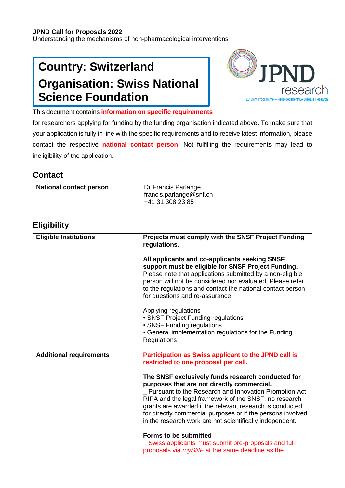#### **JPND Call for Proposals 2022**

Understanding the mechanisms of non-pharmacological interventions

# **Country: Switzerland Organisation: Swiss National Science Foundation**



This document contains **information on specific requirements**

for researchers applying for funding by the funding organisation indicated above. To make sure that your application is fully in line with the specific requirements and to receive latest information, please contact the respective **national contact person**. Not fulfilling the requirements may lead to ineligibility of the application.

### **Contact**

| National contact person | Dr Francis Parlange<br>francis.parlange@snf.ch<br>+41 31 308 23 85 |
|-------------------------|--------------------------------------------------------------------|
|                         |                                                                    |

### **Eligibility**

| <b>Eligible Institutions</b>   | Projects must comply with the SNSF Project Funding<br>regulations.                                                                                                                                                                                                                                                                                                                                         |
|--------------------------------|------------------------------------------------------------------------------------------------------------------------------------------------------------------------------------------------------------------------------------------------------------------------------------------------------------------------------------------------------------------------------------------------------------|
|                                | All applicants and co-applicants seeking SNSF<br>support must be eligible for SNSF Project Funding.<br>Please note that applications submitted by a non-eligible<br>person will not be considered nor evaluated. Please refer<br>to the regulations and contact the national contact person<br>for questions and re-assurance.                                                                             |
|                                | Applying regulations<br>• SNSF Project Funding regulations<br>• SNSF Funding regulations<br>• General implementation regulations for the Funding<br>Regulations                                                                                                                                                                                                                                            |
| <b>Additional requirements</b> | Participation as Swiss applicant to the JPND call is<br>restricted to one proposal per call.                                                                                                                                                                                                                                                                                                               |
|                                | The SNSF exclusively funds research conducted for<br>purposes that are not directly commercial.<br>_ Pursuant to the Research and Innovation Promotion Act<br>RIPA and the legal framework of the SNSF, no research<br>grants are awarded if the relevant research is conducted<br>for directly commercial purposes or if the persons involved<br>in the research work are not scientifically independent. |
|                                | <b>Forms to be submitted</b><br>Swiss applicants must submit pre-proposals and full<br>proposals via mySNF at the same deadline as the                                                                                                                                                                                                                                                                     |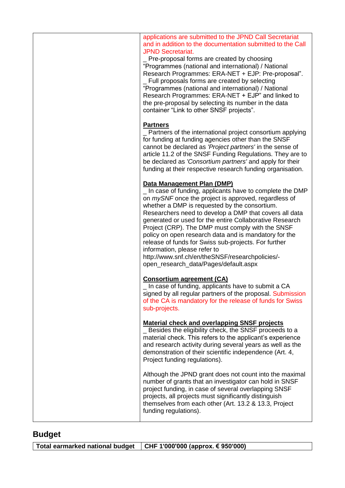| applications are submitted to the JPND Call Secretariat<br>and in addition to the documentation submitted to the Call<br><b>JPND Secretariat.</b><br>_ Pre-proposal forms are created by choosing<br>"Programmes (national and international) / National<br>Research Programmes: ERA-NET + EJP: Pre-proposal".<br>Full proposals forms are created by selecting<br>"Programmes (national and international) / National<br>Research Programmes: ERA-NET + EJP" and linked to<br>the pre-proposal by selecting its number in the data<br>container "Link to other SNSF projects".                                      |
|----------------------------------------------------------------------------------------------------------------------------------------------------------------------------------------------------------------------------------------------------------------------------------------------------------------------------------------------------------------------------------------------------------------------------------------------------------------------------------------------------------------------------------------------------------------------------------------------------------------------|
| <b>Partners</b><br>_ Partners of the international project consortium applying<br>for funding at funding agencies other than the SNSF<br>cannot be declared as 'Project partners' in the sense of<br>article 11.2 of the SNSF Funding Regulations. They are to<br>be declared as 'Consortium partners' and apply for their<br>funding at their respective research funding organisation.                                                                                                                                                                                                                             |
| Data Management Plan (DMP)<br>In case of funding, applicants have to complete the DMP<br>on mySNF once the project is approved, regardless of<br>whether a DMP is requested by the consortium.<br>Researchers need to develop a DMP that covers all data<br>generated or used for the entire Collaborative Research<br>Project (CRP). The DMP must comply with the SNSF<br>policy on open research data and is mandatory for the<br>release of funds for Swiss sub-projects. For further<br>information, please refer to<br>http://www.snf.ch/en/theSNSF/researchpolicies/-<br>open_research_data/Pages/default.aspx |
| <b>Consortium agreement (CA)</b><br>_ In case of funding, applicants have to submit a CA<br>signed by all regular partners of the proposal. Submission<br>of the CA is mandatory for the release of funds for Swiss<br>sub-projects.                                                                                                                                                                                                                                                                                                                                                                                 |
| <b>Material check and overlapping SNSF projects</b><br>_ Besides the eligibility check, the SNSF proceeds to a<br>material check. This refers to the applicant's experience<br>and research activity during several years as well as the<br>demonstration of their scientific independence (Art. 4,<br>Project funding regulations).                                                                                                                                                                                                                                                                                 |
| Although the JPND grant does not count into the maximal<br>number of grants that an investigator can hold in SNSF<br>project funding, in case of several overlapping SNSF<br>projects, all projects must significantly distinguish<br>themselves from each other (Art. 13.2 & 13.3, Project<br>funding regulations).                                                                                                                                                                                                                                                                                                 |

## **Budget**

| Total earmarked national budget   CHF 1'000'000 (approx. € 950'000) |  |
|---------------------------------------------------------------------|--|